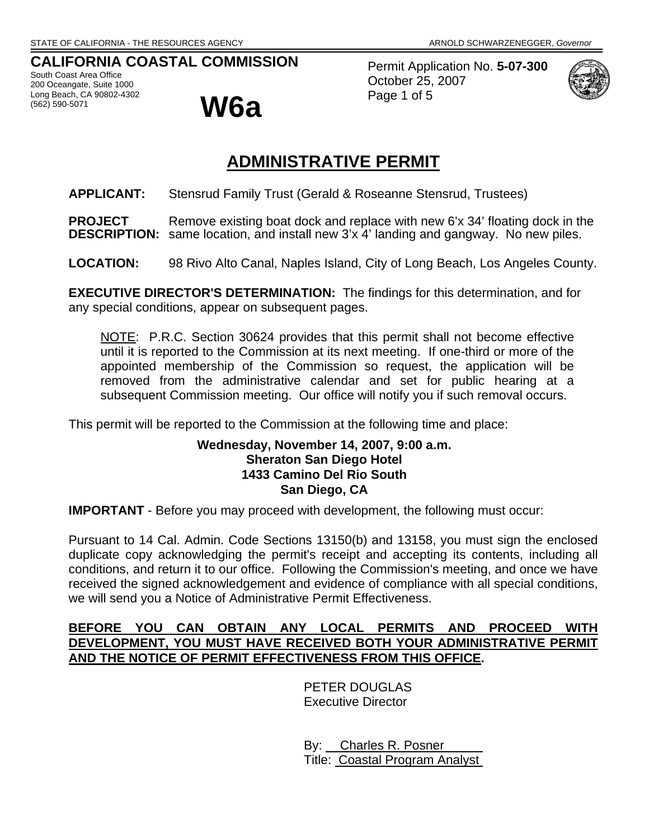# **CALIFORNIA COASTAL COMMISSION**

South Coast Area Office 200 Oceangate, Suite 1000 Long Beach, CA 90802-4302<br>(562) 590-5071



Permit Application No. **5-07-300** October 25, 2007 Page 1 of 5



# **ADMINISTRATIVE PERMIT**

**APPLICANT:** Stensrud Family Trust (Gerald & Roseanne Stensrud, Trustees)

**PROJECT** Remove existing boat dock and replace with new 6'x 34' floating dock in the **DESCRIPTION:** same location, and install new 3'x 4' landing and gangway. No new piles.

**LOCATION:** 98 Rivo Alto Canal, Naples Island, City of Long Beach, Los Angeles County.

**EXECUTIVE DIRECTOR'S DETERMINATION:** The findings for this determination, and for any special conditions, appear on subsequent pages.

NOTE: P.R.C. Section 30624 provides that this permit shall not become effective until it is reported to the Commission at its next meeting. If one-third or more of the appointed membership of the Commission so request, the application will be removed from the administrative calendar and set for public hearing at a subsequent Commission meeting. Our office will notify you if such removal occurs.

This permit will be reported to the Commission at the following time and place:

#### **Wednesday, November 14, 2007, 9:00 a.m. Sheraton San Diego Hotel 1433 Camino Del Rio South San Diego, CA**

**IMPORTANT** - Before you may proceed with development, the following must occur:

Pursuant to 14 Cal. Admin. Code Sections 13150(b) and 13158, you must sign the enclosed duplicate copy acknowledging the permit's receipt and accepting its contents, including all conditions, and return it to our office. Following the Commission's meeting, and once we have received the signed acknowledgement and evidence of compliance with all special conditions, we will send you a Notice of Administrative Permit Effectiveness.

## **BEFORE YOU CAN OBTAIN ANY LOCAL PERMITS AND PROCEED WITH DEVELOPMENT, YOU MUST HAVE RECEIVED BOTH YOUR ADMINISTRATIVE PERMIT AND THE NOTICE OF PERMIT EFFECTIVENESS FROM THIS OFFICE.**

 PETER DOUGLAS Executive Director

 By: Charles R. Posner Title: Coastal Program Analyst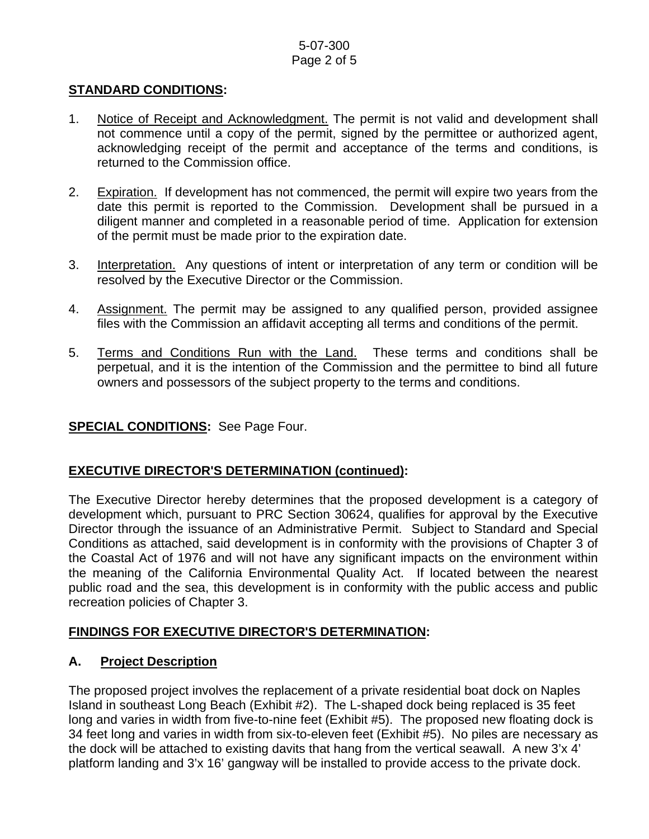#### 5-07-300 Page 2 of 5

#### **STANDARD CONDITIONS:**

- 1. Notice of Receipt and Acknowledgment. The permit is not valid and development shall not commence until a copy of the permit, signed by the permittee or authorized agent, acknowledging receipt of the permit and acceptance of the terms and conditions, is returned to the Commission office.
- 2. Expiration. If development has not commenced, the permit will expire two years from the date this permit is reported to the Commission. Development shall be pursued in a diligent manner and completed in a reasonable period of time. Application for extension of the permit must be made prior to the expiration date.
- 3. Interpretation. Any questions of intent or interpretation of any term or condition will be resolved by the Executive Director or the Commission.
- 4. Assignment. The permit may be assigned to any qualified person, provided assignee files with the Commission an affidavit accepting all terms and conditions of the permit.
- 5. Terms and Conditions Run with the Land. These terms and conditions shall be perpetual, and it is the intention of the Commission and the permittee to bind all future owners and possessors of the subject property to the terms and conditions.

#### **SPECIAL CONDITIONS:** See Page Four.

# **EXECUTIVE DIRECTOR'S DETERMINATION (continued):**

The Executive Director hereby determines that the proposed development is a category of development which, pursuant to PRC Section 30624, qualifies for approval by the Executive Director through the issuance of an Administrative Permit. Subject to Standard and Special Conditions as attached, said development is in conformity with the provisions of Chapter 3 of the Coastal Act of 1976 and will not have any significant impacts on the environment within the meaning of the California Environmental Quality Act. If located between the nearest public road and the sea, this development is in conformity with the public access and public recreation policies of Chapter 3.

#### **FINDINGS FOR EXECUTIVE DIRECTOR'S DETERMINATION:**

#### **A. Project Description**

The proposed project involves the replacement of a private residential boat dock on Naples Island in southeast Long Beach (Exhibit #2). The L-shaped dock being replaced is 35 feet long and varies in width from five-to-nine feet (Exhibit #5). The proposed new floating dock is 34 feet long and varies in width from six-to-eleven feet (Exhibit #5). No piles are necessary as the dock will be attached to existing davits that hang from the vertical seawall. A new 3'x 4' platform landing and 3'x 16' gangway will be installed to provide access to the private dock.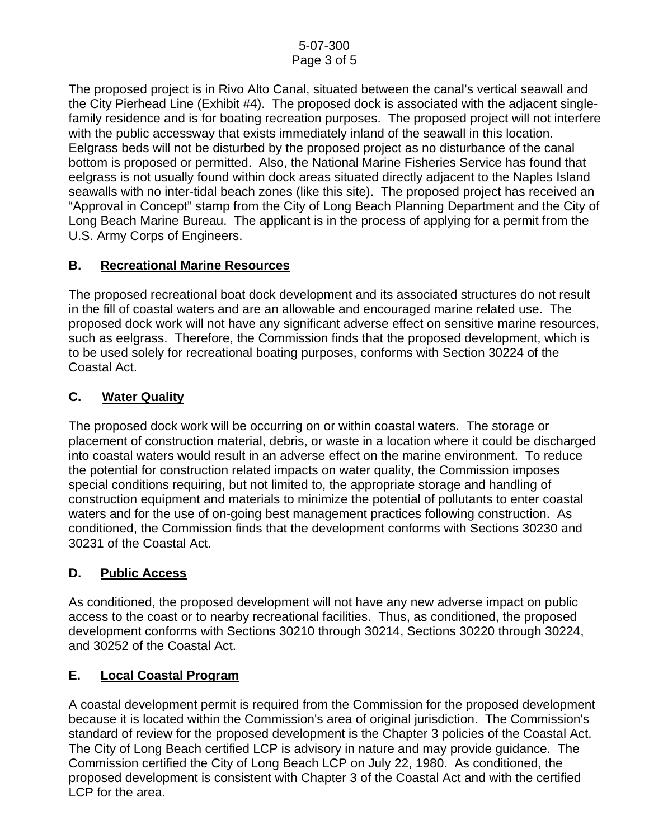The proposed project is in Rivo Alto Canal, situated between the canal's vertical seawall and the City Pierhead Line (Exhibit #4). The proposed dock is associated with the adjacent singlefamily residence and is for boating recreation purposes. The proposed project will not interfere with the public accessway that exists immediately inland of the seawall in this location. Eelgrass beds will not be disturbed by the proposed project as no disturbance of the canal bottom is proposed or permitted. Also, the National Marine Fisheries Service has found that eelgrass is not usually found within dock areas situated directly adjacent to the Naples Island seawalls with no inter-tidal beach zones (like this site). The proposed project has received an "Approval in Concept" stamp from the City of Long Beach Planning Department and the City of Long Beach Marine Bureau. The applicant is in the process of applying for a permit from the U.S. Army Corps of Engineers.

# **B. Recreational Marine Resources**

The proposed recreational boat dock development and its associated structures do not result in the fill of coastal waters and are an allowable and encouraged marine related use. The proposed dock work will not have any significant adverse effect on sensitive marine resources, such as eelgrass. Therefore, the Commission finds that the proposed development, which is to be used solely for recreational boating purposes, conforms with Section 30224 of the Coastal Act.

# **C. Water Quality**

The proposed dock work will be occurring on or within coastal waters. The storage or placement of construction material, debris, or waste in a location where it could be discharged into coastal waters would result in an adverse effect on the marine environment. To reduce the potential for construction related impacts on water quality, the Commission imposes special conditions requiring, but not limited to, the appropriate storage and handling of construction equipment and materials to minimize the potential of pollutants to enter coastal waters and for the use of on-going best management practices following construction. As conditioned, the Commission finds that the development conforms with Sections 30230 and 30231 of the Coastal Act.

# **D. Public Access**

As conditioned, the proposed development will not have any new adverse impact on public access to the coast or to nearby recreational facilities. Thus, as conditioned, the proposed development conforms with Sections 30210 through 30214, Sections 30220 through 30224, and 30252 of the Coastal Act.

# **E. Local Coastal Program**

A coastal development permit is required from the Commission for the proposed development because it is located within the Commission's area of original jurisdiction. The Commission's standard of review for the proposed development is the Chapter 3 policies of the Coastal Act. The City of Long Beach certified LCP is advisory in nature and may provide guidance. The Commission certified the City of Long Beach LCP on July 22, 1980. As conditioned, the proposed development is consistent with Chapter 3 of the Coastal Act and with the certified LCP for the area.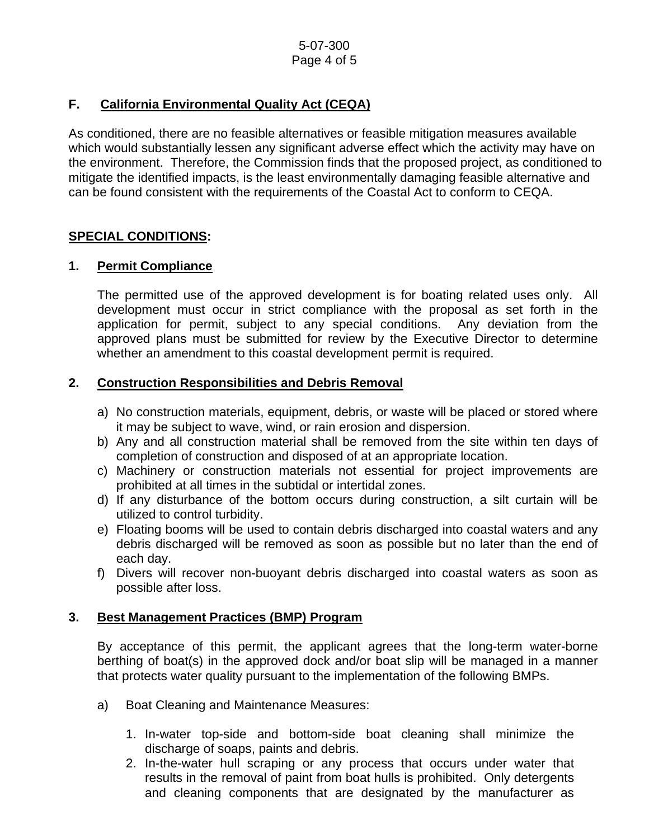# **F. California Environmental Quality Act (CEQA)**

As conditioned, there are no feasible alternatives or feasible mitigation measures available which would substantially lessen any significant adverse effect which the activity may have on the environment. Therefore, the Commission finds that the proposed project, as conditioned to mitigate the identified impacts, is the least environmentally damaging feasible alternative and can be found consistent with the requirements of the Coastal Act to conform to CEQA.

## **SPECIAL CONDITIONS:**

## **1. Permit Compliance**

 The permitted use of the approved development is for boating related uses only. All development must occur in strict compliance with the proposal as set forth in the application for permit, subject to any special conditions. Any deviation from the approved plans must be submitted for review by the Executive Director to determine whether an amendment to this coastal development permit is required.

## **2. Construction Responsibilities and Debris Removal**

- a) No construction materials, equipment, debris, or waste will be placed or stored where it may be subject to wave, wind, or rain erosion and dispersion.
- b) Any and all construction material shall be removed from the site within ten days of completion of construction and disposed of at an appropriate location.
- c) Machinery or construction materials not essential for project improvements are prohibited at all times in the subtidal or intertidal zones.
- d) If any disturbance of the bottom occurs during construction, a silt curtain will be utilized to control turbidity.
- e) Floating booms will be used to contain debris discharged into coastal waters and any debris discharged will be removed as soon as possible but no later than the end of each day.
- f) Divers will recover non-buoyant debris discharged into coastal waters as soon as possible after loss.

#### **3. Best Management Practices (BMP) Program**

By acceptance of this permit, the applicant agrees that the long-term water-borne berthing of boat(s) in the approved dock and/or boat slip will be managed in a manner that protects water quality pursuant to the implementation of the following BMPs.

- a) Boat Cleaning and Maintenance Measures:
	- 1. In-water top-side and bottom-side boat cleaning shall minimize the discharge of soaps, paints and debris.
	- 2. In-the-water hull scraping or any process that occurs under water that results in the removal of paint from boat hulls is prohibited. Only detergents and cleaning components that are designated by the manufacturer as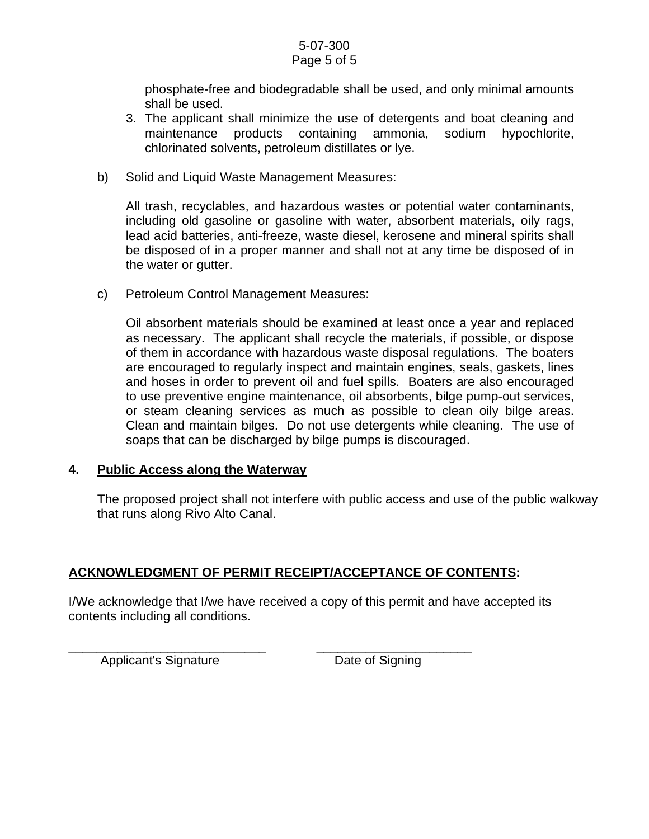#### 5-07-300 Page 5 of 5

phosphate-free and biodegradable shall be used, and only minimal amounts shall be used.

- 3. The applicant shall minimize the use of detergents and boat cleaning and maintenance products containing ammonia, sodium hypochlorite, chlorinated solvents, petroleum distillates or lye.
- b) Solid and Liquid Waste Management Measures:

All trash, recyclables, and hazardous wastes or potential water contaminants, including old gasoline or gasoline with water, absorbent materials, oily rags, lead acid batteries, anti-freeze, waste diesel, kerosene and mineral spirits shall be disposed of in a proper manner and shall not at any time be disposed of in the water or gutter.

c) Petroleum Control Management Measures:

Oil absorbent materials should be examined at least once a year and replaced as necessary. The applicant shall recycle the materials, if possible, or dispose of them in accordance with hazardous waste disposal regulations. The boaters are encouraged to regularly inspect and maintain engines, seals, gaskets, lines and hoses in order to prevent oil and fuel spills. Boaters are also encouraged to use preventive engine maintenance, oil absorbents, bilge pump-out services, or steam cleaning services as much as possible to clean oily bilge areas. Clean and maintain bilges. Do not use detergents while cleaning. The use of soaps that can be discharged by bilge pumps is discouraged.

#### **4. Public Access along the Waterway**

The proposed project shall not interfere with public access and use of the public walkway that runs along Rivo Alto Canal.

# **ACKNOWLEDGMENT OF PERMIT RECEIPT/ACCEPTANCE OF CONTENTS:**

\_\_\_\_\_\_\_\_\_\_\_\_\_\_\_\_\_\_\_\_\_\_\_\_\_\_\_\_ \_\_\_\_\_\_\_\_\_\_\_\_\_\_\_\_\_\_\_\_\_\_

I/We acknowledge that I/we have received a copy of this permit and have accepted its contents including all conditions.

Applicant's Signature **Date of Signing**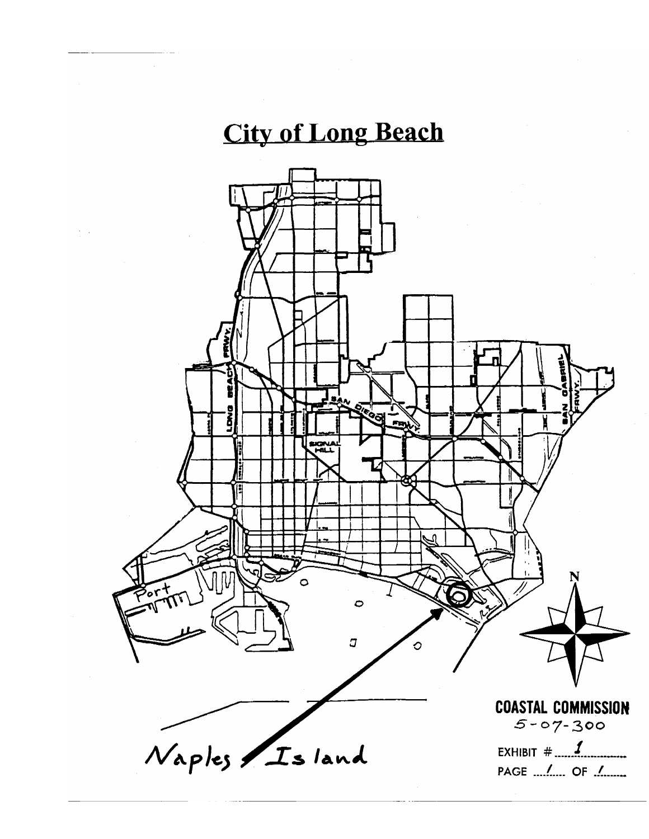# **City of Long Beach**

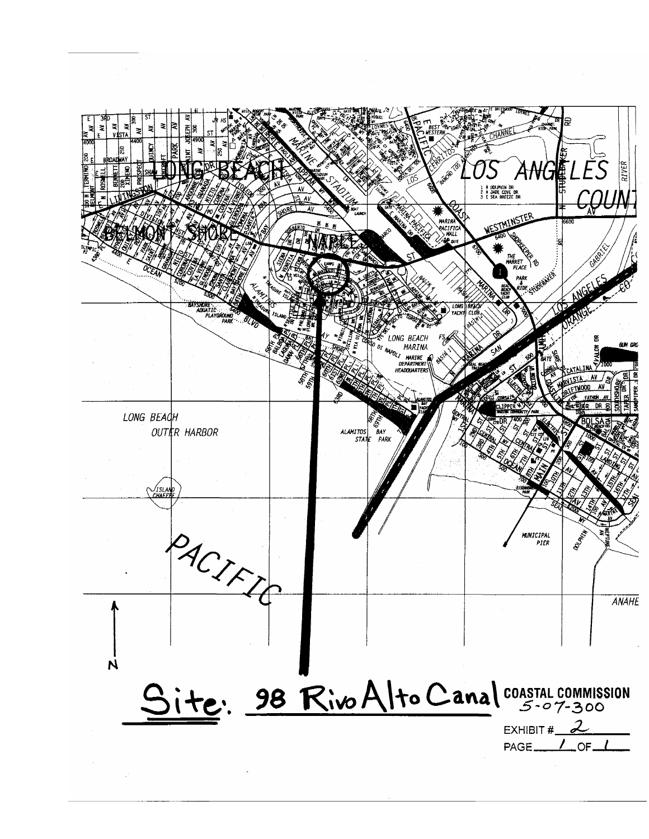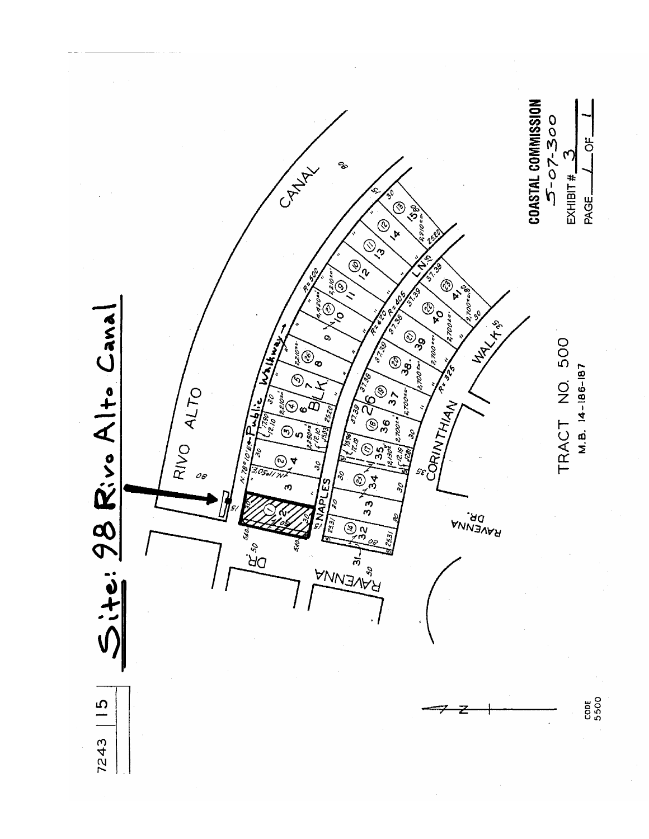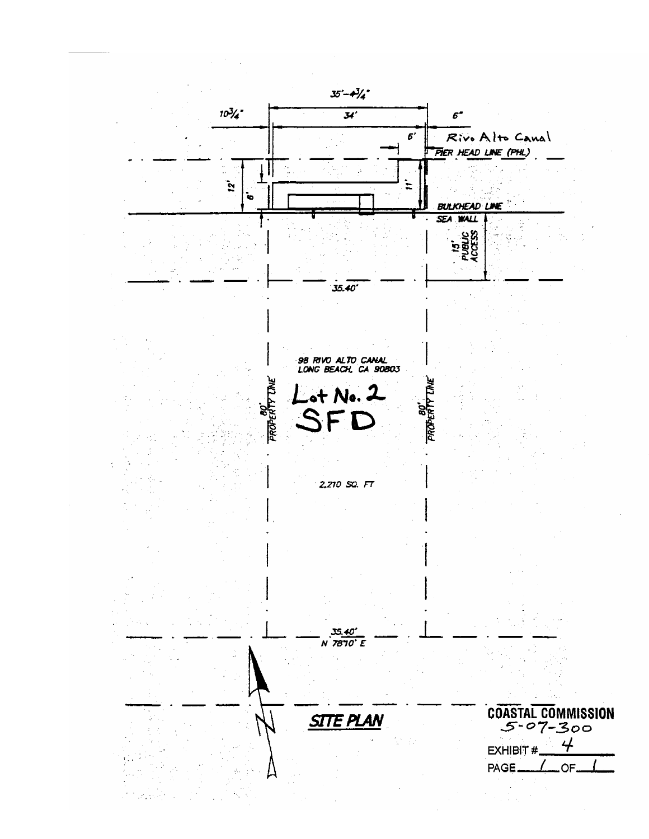